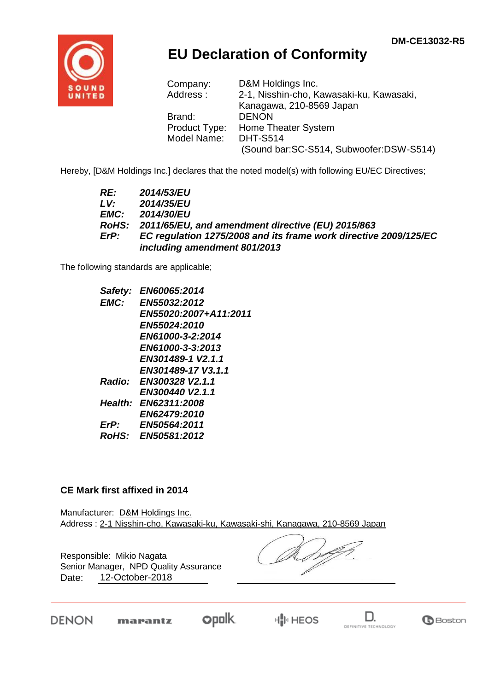

## **EU Declaration of Conformity**

| Company:      | D&M Holdings Inc.                        |
|---------------|------------------------------------------|
| Address:      | 2-1, Nisshin-cho, Kawasaki-ku, Kawasaki, |
|               | Kanagawa, 210-8569 Japan                 |
| Brand:        | <b>DENON</b>                             |
| Product Type: | Home Theater System                      |
| Model Name:   | <b>DHT-S514</b>                          |
|               | (Sound bar:SC-S514, Subwoofer:DSW-S514)  |

Hereby, [D&M Holdings Inc.] declares that the noted model(s) with following EU/EC Directives;

| RE:  | 2014/53/EU                                                       |
|------|------------------------------------------------------------------|
| LV:  | 2014/35/EU                                                       |
| EMC: | 2014/30/EU                                                       |
|      | RoHS: 2011/65/EU, and amendment directive (EU) 2015/863          |
| ErP: | EC regulation 1275/2008 and its frame work directive 2009/125/EC |
|      | including amendment 801/2013                                     |

The following standards are applicable;

| Safety:     | EN60065:2014           |
|-------------|------------------------|
| EMC:        | EN55032:2012           |
|             | EN55020:2007+A11:2011  |
|             | EN55024:2010           |
|             | EN61000-3-2:2014       |
|             | EN61000-3-3:2013       |
|             | EN301489-1 V2.1.1      |
|             | EN301489-17 V3.1.1     |
|             | Radio: EN300328 V2.1.1 |
|             | EN300440 V2.1.1        |
|             | Health: EN62311:2008   |
|             | EN62479:2010           |
| $E$ r $P$ : | EN50564:2011           |
|             | RoHS: EN50581:2012     |
|             |                        |

## **CE Mark first affixed in 2014**

Manufacturer: D&M Holdings Inc. Address : 2-1 Nisshin-cho, Kawasaki-ku, Kawasaki-shi, Kanagawa, 210-8569 Japan

Responsible: Mikio Nagata Date: 12-October-2018 Senior Manager, NPD Quality Assurance

DENON

 $opolk$ marantz



D.

**G**Boston